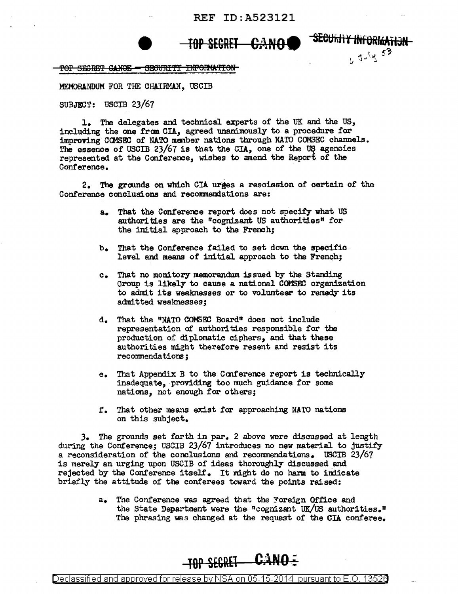## REF ID: A523121

(, July 53)

## **TOP SECRET CANO SEetJ·itJi V ihf ORlfrAnJN**

TOP SECRET CANOE - SECURITY INFORMATION

MEMORANDUM FOR THE CHAIRMAN, USCIB

 $SUBJECT:$  USCIB 23/67

1. The delegates and technical experts of the UK and the US, including the one from CIA, agreed unanimously to a procedure for improving COMSEC of NATO member nations through NATO COMSEC channels. The essence of USCIB 23/67 is that the CIA, one of the US agencies represented at the Conference, wishes to amend the Report of the Conference.

2. The grrunds on which CIA urges a rescission of certain of the Conference conclusions and recommendations are:

- a. That the Conference report does not specify what US authorities are the "cognizant US authorities" for the initial approach to the French;
- b. That the Conference failed to set down the specific level and means of initial approach to the French;
- c. That no monitory memorandum issued by the Standing Group is likely to cause a national COMSEC organization to admit its weaknesses or to volunteer to remedy its admitted weaknesses;
- d. That the "NATO COMSID Board" does not include representation of authorities responsible for the production of diplomatic ciphers, and that these authorities might therefore resent and resist its recommendations;
- e. That Appendix B to the Conference report is technically inadequate, providing too much guidance for some nations, not enough for others;
- f. That other neans exist far approaching NATO nations on this subject.

J. The grounds set forth in par. 2 above were discussed at length during the Conference; USCIB 23/67 introduces no new material to justify a reconsideration of the conclusions and recommendations. USCIB 23/67 is merely an urging upon USCIB of ideas thoroughly discussed and rejected by the Conference itself. It might do no harm to indicate briefly the attitude of the conferees toward the points raised:

> a. The Conference was agreed that the Foreign Office and the State Department were the ncognizant UK/US authorities." The phrasing was changed at the request of the CIA conferee.

## **TOP SEGRET CANO=**

Declassified and approved for release by NSA on 05-15-2014 pursuantto E .0. 1352a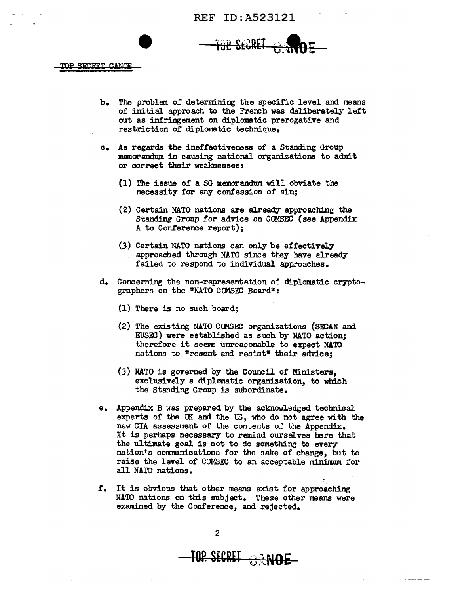REF ID:A523121

SECRET

TOP SECRET CANOE

- b. The problem or determining the specific level and means of initial approach to the Fremh was deliberately lett out as infringement on diplomatic prerogative and restriction of diplomatic technique.
- c. As regards the ineffectiveness of a Standing Group memorandum in causing national organizations to admit or correct their weaknesses:
	- {l) The issue of a SG memorandum will obviate the necessity for any confession of sin;
	- (2) Certain NATO nations are already approaching the Standing Group for advice on COMSEC (see Appendix A to Conference report);
	- (3) Certain NATO nations can only be effectively approached through NATO since they have already failed to respond to individual approaches.
- d. Concerning the non-representation of diplomatic cryptographers on the "NATO COMSEC Board":
	- (1) There is no such board;
	- (2) The existing NATO COMSEC organizations (SECAN and EUSEC) were established as such by NATO action; therefore it seems unreasonable to expect NATO nations to "resent and resist" their advice;
	- (3) NATO is governed by the Council of Ministers, exclusively a dtplomatie organization, to which the Standing Group is subordinate.
- e. Appendix B was prepared by the acknowledged technical experts of the UK and the US, who do not agree with the new CIA assessment of the contents of the Appendix. It is perhaps necessary to remind ourselves here that the ultimate goal is not to do something to every nation's communications for the sake of change, but to raise the level of COMSEC to an acceptable minimum for all NATO nations.
- r. It is obvious that other means exist for approaching NA'ID nations on this subject. These other means were examined by the Conference, and rejected.

**TOP\_SECRET**